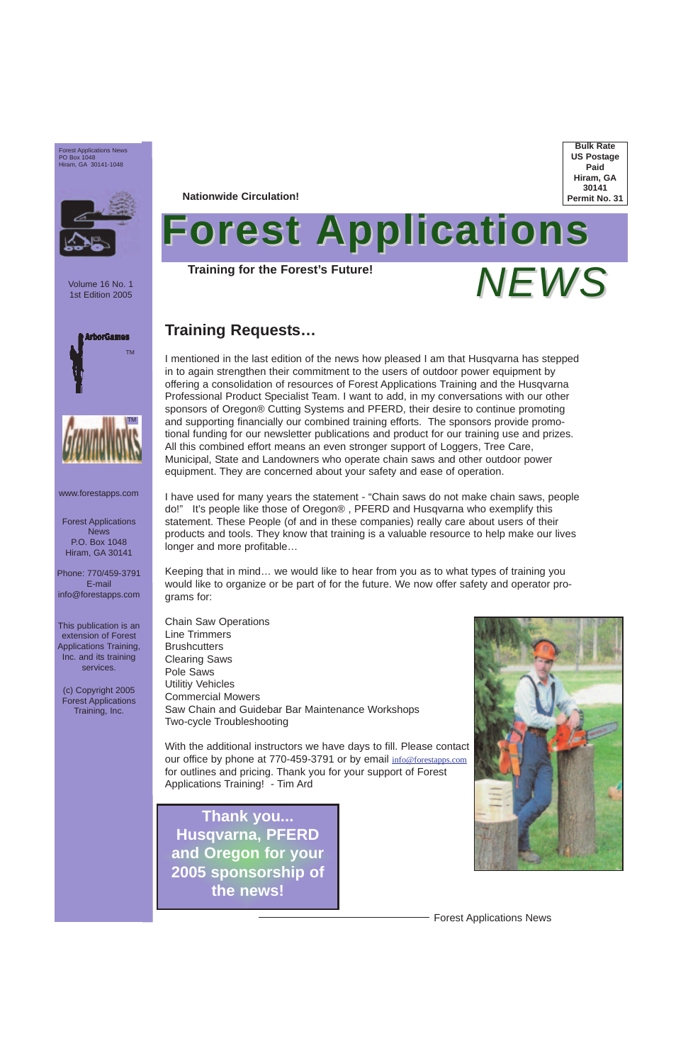Forest Applications News

Volume 16 No. 1 1st Edition 2005

Forest Applications News P.O. Box 1048 Hiram, GA 30141

Phone: 770/459-3791 E-mail info@forestapps.com

This publication is an extension of Forest Applications Training, Inc. and its training services.

# **Forest Applications** *NEWS*

(c) Copyright 2005 Forest Applications Training, Inc.



**Bulk Rate US Postage Paid Hiram, GA 30141 Permit No. 31**

Forest Applications News PO Box 1048 Hiram, GA 30141-1048



**Nationwide Circulation!**

**Training for the Forest's Future!**

**Thank you... Husqvarna, PFERD and Oregon for your 2005 sponsorship of the news!**

www.forestapps.com

# **Training Requests…**

I mentioned in the last edition of the news how pleased I am that Husqvarna has stepped in to again strengthen their commitment to the users of outdoor power equipment by offering a consolidation of resources of Forest Applications Training and the Husqvarna Professional Product Specialist Team. I want to add, in my conversations with our other sponsors of Oregon® Cutting Systems and PFERD, their desire to continue promoting and supporting financially our combined training efforts. The sponsors provide promotional funding for our newsletter publications and product for our training use and prizes. All this combined effort means an even stronger support of Loggers, Tree Care, Municipal, State and Landowners who operate chain saws and other outdoor power equipment. They are concerned about your safety and ease of operation.

I have used for many years the statement - "Chain saws do not make chain saws, people do!" It's people like those of Oregon® , PFERD and Husqvarna who exemplify this statement. These People (of and in these companies) really care about users of their products and tools. They know that training is a valuable resource to help make our lives longer and more profitable…

Keeping that in mind… we would like to hear from you as to what types of training you would like to organize or be part of for the future. We now offer safety and operator programs for:

Chain Saw Operations Line Trimmers **Brushcutters** Clearing Saws Pole Saws Utilitiy Vehicles Commercial Mowers Saw Chain and Guidebar Bar Maintenance Workshops Two-cycle Troubleshooting

With the additional instructors we have days to fill. Please contact our office by phone at 770-459-3791 or by email info@forestapps.com for outlines and pricing. Thank you for your support of Forest Applications Training! - Tim Ard

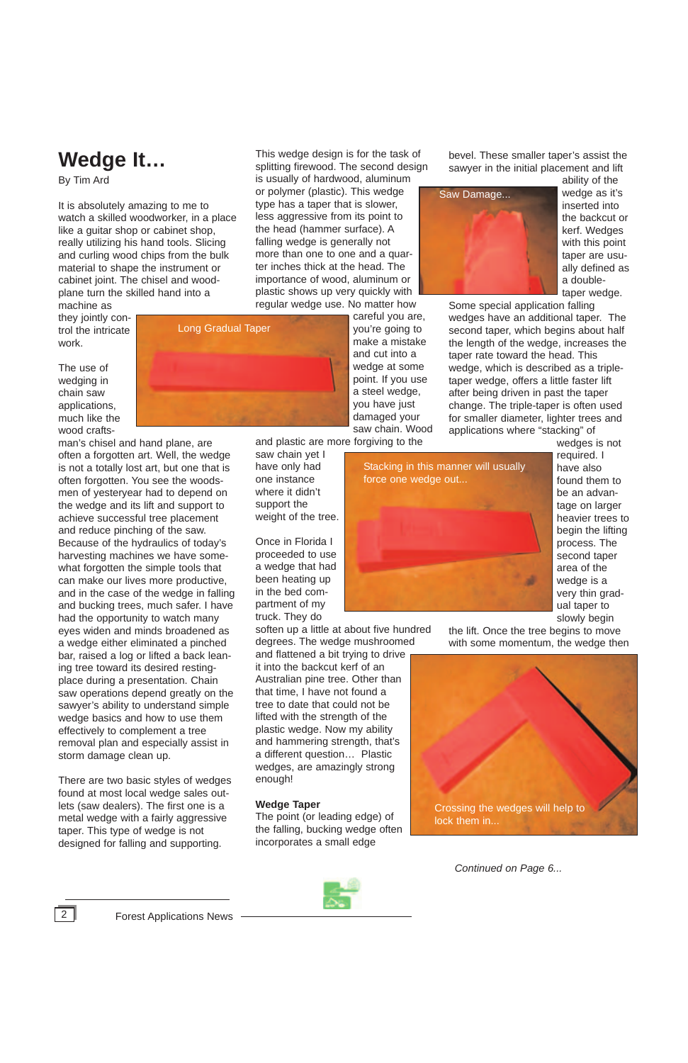# **Wedge It…**

By Tim Ard

It is absolutely amazing to me to watch a skilled woodworker, in a place like a guitar shop or cabinet shop, really utilizing his hand tools. Slicing and curling wood chips from the bulk material to shape the instrument or cabinet joint. The chisel and woodplane turn the skilled hand into a

machine as they jointly control the intricate work.

The use of wedging in chain saw applications, much like the wood crafts-

man's chisel and hand plane, are often a forgotten art. Well, the wedge is not a totally lost art, but one that is often forgotten. You see the woodsmen of yesteryear had to depend on the wedge and its lift and support to achieve successful tree placement and reduce pinching of the saw. Because of the hydraulics of today's harvesting machines we have somewhat forgotten the simple tools that can make our lives more productive, and in the case of the wedge in falling and bucking trees, much safer. I have had the opportunity to watch many eyes widen and minds broadened as a wedge either eliminated a pinched bar, raised a log or lifted a back leaning tree toward its desired restingplace during a presentation. Chain saw operations depend greatly on the sawyer's ability to understand simple wedge basics and how to use them effectively to complement a tree removal plan and especially assist in storm damage clean up.

There are two basic styles of wedges found at most local wedge sales outlets (saw dealers). The first one is a metal wedge with a fairly aggressive taper. This type of wedge is not designed for falling and supporting.

This wedge design is for the task of splitting firewood. The second design

is usually of hardwood, aluminum or polymer (plastic). This wedge type has a taper that is slower, less aggressive from its point to the head (hammer surface). A falling wedge is generally not more than one to one and a quarter inches thick at the head. The importance of wood, aluminum or plastic shows up very quickly with regular wedge use. No matter how

> careful you are, you're going to make a mistake and cut into a wedge at some point. If you use a steel wedge, you have just damaged your saw chain. Wood

and plastic are more forgiving to the

saw chain yet I have only had one instance where it didn't support the weight of the tree.

Once in Florida I proceeded to use a wedge that had been heating up in the bed compartment of my truck. They do

soften up a little at about five hundred degrees. The wedge mushroomed

and flattened a bit trying to drive it into the backcut kerf of an Australian pine tree. Other than that time, I have not found a tree to date that could not be lifted with the strength of the plastic wedge. Now my ability and hammering strength, that's a different question… Plastic wedges, are amazingly strong enough!

#### **Wedge Taper**

The point (or leading edge) of the falling, bucking wedge often incorporates a small edge

bevel. These smaller taper's assist the sawyer in the initial placement and lift

> ability of the wedge as it's inserted into the backcut or kerf. Wedges with this point taper are usually defined as a doubletaper wedge.

Some special application falling wedges have an additional taper. The second taper, which begins about half the length of the wedge, increases the taper rate toward the head. This wedge, which is described as a tripletaper wedge, offers a little faster lift after being driven in past the taper change. The triple-taper is often used for smaller diameter, lighter trees and applications where "stacking" of

> wedges is not required. I have also found them to be an advantage on larger heavier trees to begin the lifting process. The second taper area of the wedge is a very thin gradual taper to slowly begin

the lift. Once the tree begins to move with some momentum, the wedge then



*Continued on Page 6...*



2 **Forest Applications News** 







Crossing the wedges will help to lock them in...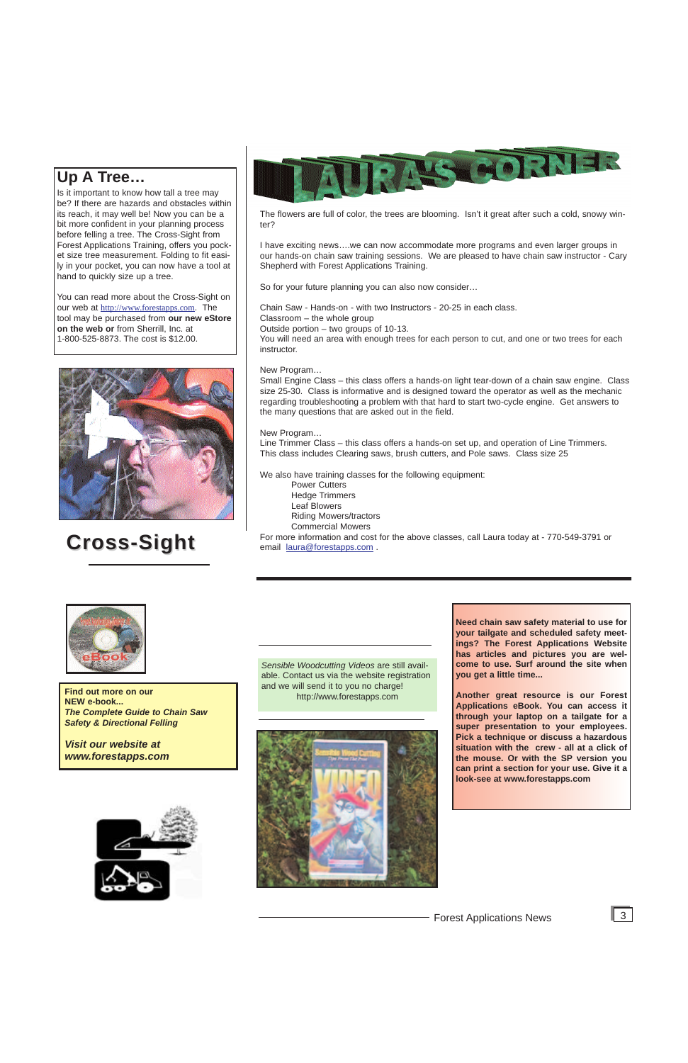# **Cross-Sight Cross-Sight**



*Sensible Woodcutting Videos* are still available. Contact us via the website registration and we will send it to you no charge!



**Find out more on our and we will send it to you no charge<br>http://www.forestapps.com NEW e-book...** *The Complete Guide to Chain Saw Safety & Directional Felling* 

*Visit our website at www.forestapps.com*

# **Up A Tree…**

Is it important to know how tall a tree may be? If there are hazards and obstacles within its reach, it may well be! Now you can be a bit more confident in your planning process before felling a tree. The Cross-Sight from Forest Applications Training, offers you pocket size tree measurement. Folding to fit easily in your pocket, you can now have a tool at hand to quickly size up a tree.

You can read more about the Cross-Sight on our web at http://www.forestapps.com. The tool may be purchased from **our new eStore on the web or** from Sherrill, Inc. at 1-800-525-8873. The cost is \$12.00.



The flowers are full of color, the trees are blooming. Isn't it great after such a cold, snowy winter?

I have exciting news….we can now accommodate more programs and even larger groups in our hands-on chain saw training sessions. We are pleased to have chain saw instructor - Cary Shepherd with Forest Applications Training.

So for your future planning you can also now consider…

Chain Saw - Hands-on - with two Instructors - 20-25 in each class. Classroom – the whole group Outside portion – two groups of 10-13. You will need an area with enough trees for each person to cut, and one or two trees for each instructor.

#### New Program…

Small Engine Class – this class offers a hands-on light tear-down of a chain saw engine. Class size 25-30. Class is informative and is designed toward the operator as well as the mechanic regarding troubleshooting a problem with that hard to start two-cycle engine. Get answers to the many questions that are asked out in the field.

#### New Program…

Line Trimmer Class – this class offers a hands-on set up, and operation of Line Trimmers. This class includes Clearing saws, brush cutters, and Pole saws. Class size 25

We also have training classes for the following equipment:

Power Cutters Hedge Trimmers Leaf Blowers Riding Mowers/tractors Commercial Mowers

For more information and cost for the above classes, call Laura today at - 770-549-3791 or email laura@forestapps.com .



**Need chain saw safety material to use for your tailgate and scheduled safety meetings? The Forest Applications Website has articles and pictures you are welcome to use. Surf around the site when you get a little time...**

**Another great resource is our Forest Applications eBook. You can access it through your laptop on a tailgate for a super presentation to your employees. Pick a technique or discuss a hazardous situation with the crew - all at a click of the mouse. Or with the SP version you can print a section for your use. Give it a look-see at www.forestapps.com**



Forest Applications News 3

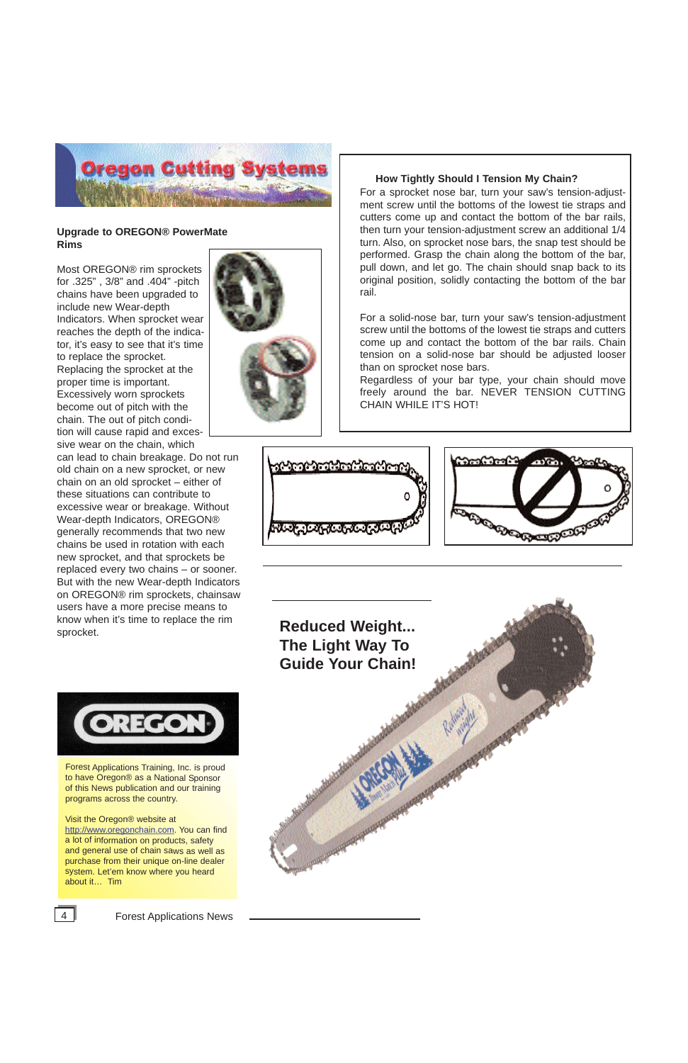Forest Applications Training, Inc. is proud to have Oregon® as a National Sponsor



of this News publication and our training programs across the country.

Visit the Oregon® website at http://www.oregonchain.com. You can find a lot of information on products, safety and general use of chain saws as well as purchase from their unique on-line dealer system. Let'em know where you heard about it… Tim





4 **Forest Applications News** 

**Reduced Weight... The Light Way To Guide Your Chain!**



#### **Upgrade to OREGON® PowerMate Rims**

Most OREGON® rim sprockets for .325" , 3/8" and .404" -pitch chains have been upgraded to include new Wear-depth Indicators. When sprocket wear reaches the depth of the indicator, it's easy to see that it's time to replace the sprocket. Replacing the sprocket at the proper time is important. Excessively worn sprockets become out of pitch with the chain. The out of pitch condition will cause rapid and excessive wear on the chain, which

can lead to chain breakage. Do not run old chain on a new sprocket, or new chain on an old sprocket – either of these situations can contribute to excessive wear or breakage. Without Wear-depth Indicators, OREGON® generally recommends that two new chains be used in rotation with each new sprocket, and that sprockets be replaced every two chains – or sooner. But with the new Wear-depth Indicators on OREGON® rim sprockets, chainsaw users have a more precise means to know when it's time to replace the rim sprocket.



#### **How Tightly Should I Tension My Chain?**

For a sprocket nose bar, turn your saw's tension-adjustment screw until the bottoms of the lowest tie straps and cutters come up and contact the bottom of the bar rails, then turn your tension-adjustment screw an additional 1/4 turn. Also, on sprocket nose bars, the snap test should be performed. Grasp the chain along the bottom of the bar, pull down, and let go. The chain should snap back to its original position, solidly contacting the bottom of the bar rail.

For a solid-nose bar, turn your saw's tension-adjustment screw until the bottoms of the lowest tie straps and cutters come up and contact the bottom of the bar rails. Chain tension on a solid-nose bar should be adjusted looser than on sprocket nose bars.

Regardless of your bar type, your chain should move freely around the bar. NEVER TENSION CUTTING CHAIN WHILE IT'S HOT!



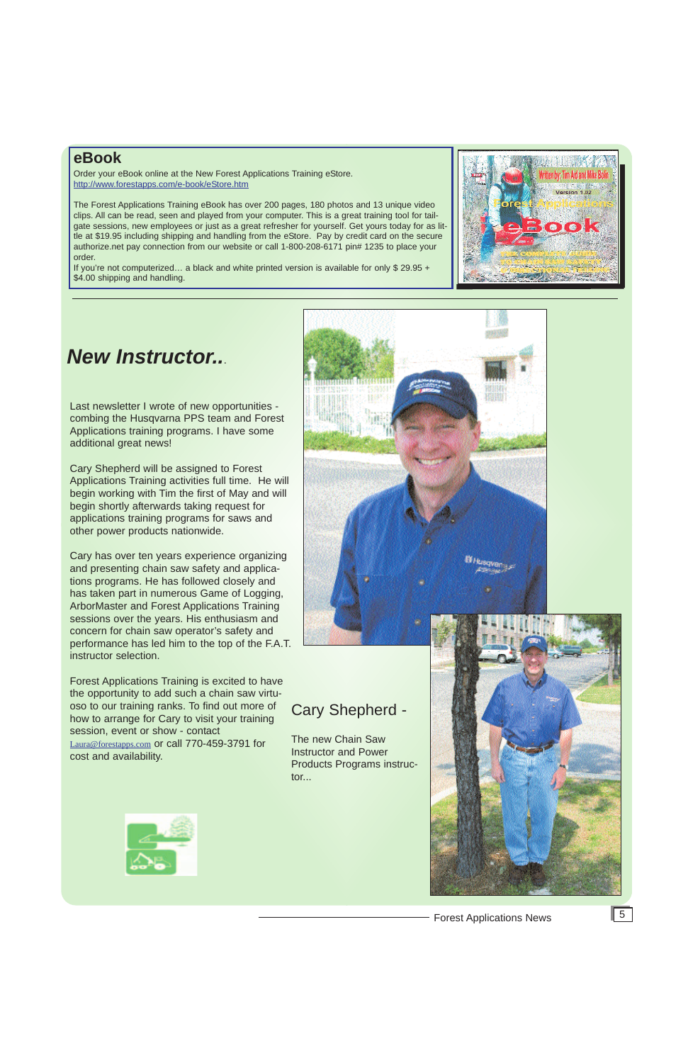## **eBook**

Order your eBook online at the New Forest Applications Training eStore. http://www.forestapps.com/e-book/eStore.htm

If you're not computerized... a black and white printed version is available for only \$ 29.95 + \$4.00 shipping and handling.



The Forest Applications Training eBook has over 200 pages, 180 photos and 13 unique video clips. All can be read, seen and played from your computer. This is a great training tool for tailgate sessions, new employees or just as a great refresher for yourself. Get yours today for as little at \$19.95 including shipping and handling from the eStore. Pay by credit card on the secure authorize.net pay connection from our website or call 1-800-208-6171 pin# 1235 to place your order.

# *New Instructor..*.

Last newsletter I wrote of new opportunities combing the Husqvarna PPS team and Forest Applications training programs. I have some additional great news!

Cary Shepherd will be assigned to Forest Applications Training activities full time. He will begin working with Tim the first of May and will begin shortly afterwards taking request for applications training programs for saws and other power products nationwide.

Cary has over ten years experience organizing and presenting chain saw safety and applications programs. He has followed closely and has taken part in numerous Game of Logging, ArborMaster and Forest Applications Training sessions over the years. His enthusiasm and concern for chain saw operator's safety and performance has led him to the top of the F.A.T. instructor selection.

Forest Applications Training is excited to have the opportunity to add such a chain saw virtuoso to our training ranks. To find out more of how to arrange for Cary to visit your training session, event or show - contact Laura@forestapps.com or call 770-459-3791 for cost and availability.



# Cary Shepherd -

The new Chain Saw Instructor and Power Products Programs instructor...





# Forest Applications News 5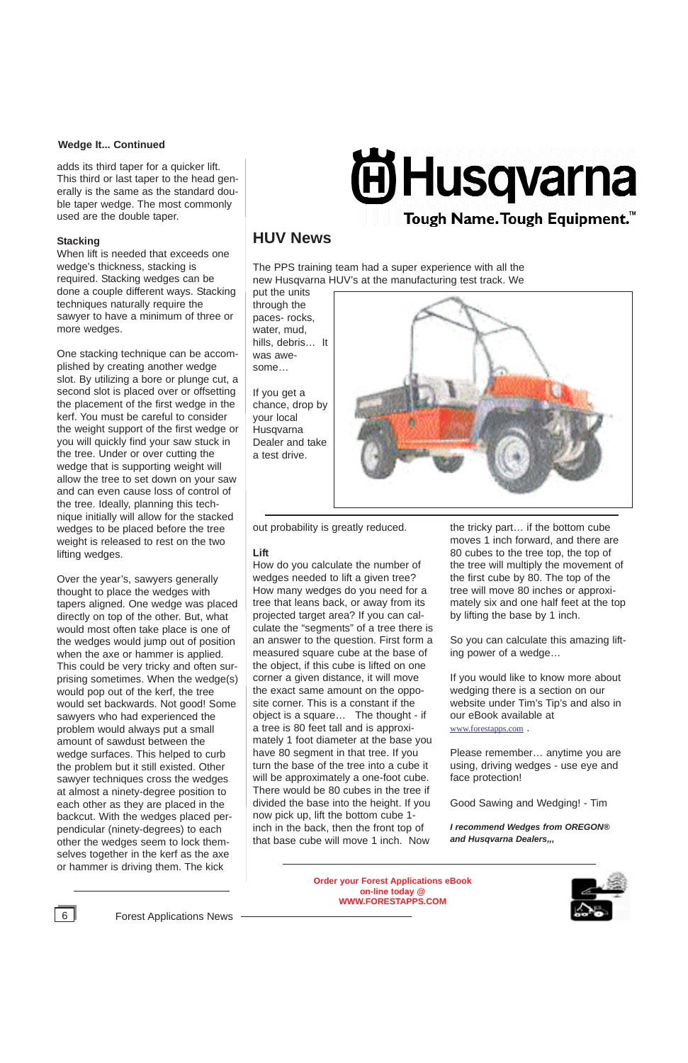6 Forest Applications News

**Order your Forest Applications eBook on-line today @ WWW.FORESTAPPS.COM**





# **HUV News**

The PPS training team had a super experience with all the new Husqvarna HUV's at the manufacturing test track. We

put the units through the paces- rocks, water, mud, hills, debris… It was awesome…

If you get a chance, drop by your local Husqvarna Dealer and take a test drive.



adds its third taper for a quicker lift. This third or last taper to the head generally is the same as the standard double taper wedge. The most commonly used are the double taper.

#### **Stacking**

When lift is needed that exceeds one wedge's thickness, stacking is required. Stacking wedges can be done a couple different ways. Stacking techniques naturally require the sawyer to have a minimum of three or more wedges.

One stacking technique can be accomplished by creating another wedge slot. By utilizing a bore or plunge cut, a second slot is placed over or offsetting the placement of the first wedge in the kerf. You must be careful to consider the weight support of the first wedge or you will quickly find your saw stuck in the tree. Under or over cutting the wedge that is supporting weight will allow the tree to set down on your saw and can even cause loss of control of the tree. Ideally, planning this technique initially will allow for the stacked wedges to be placed before the tree weight is released to rest on the two lifting wedges.

Over the year's, sawyers generally thought to place the wedges with tapers aligned. One wedge was placed directly on top of the other. But, what would most often take place is one of the wedges would jump out of position when the axe or hammer is applied. This could be very tricky and often surprising sometimes. When the wedge(s) would pop out of the kerf, the tree would set backwards. Not good! Some sawyers who had experienced the problem would always put a small amount of sawdust between the wedge surfaces. This helped to curb the problem but it still existed. Other sawyer techniques cross the wedges at almost a ninety-degree position to each other as they are placed in the backcut. With the wedges placed perpendicular (ninety-degrees) to each other the wedges seem to lock themselves together in the kerf as the axe or hammer is driving them. The kick

# **Ei Husqvarna**

# Tough Name. Tough Equipment.<sup>™</sup>

out probability is greatly reduced.

#### **Lift**

How do you calculate the number of wedges needed to lift a given tree? How many wedges do you need for a tree that leans back, or away from its projected target area? If you can calculate the "segments" of a tree there is an answer to the question. First form a measured square cube at the base of the object, if this cube is lifted on one corner a given distance, it will move the exact same amount on the opposite corner. This is a constant if the object is a square… The thought - if a tree is 80 feet tall and is approximately 1 foot diameter at the base you have 80 segment in that tree. If you turn the base of the tree into a cube it will be approximately a one-foot cube. There would be 80 cubes in the tree if divided the base into the height. If you now pick up, lift the bottom cube 1 inch in the back, then the front top of that base cube will move 1 inch. Now

the tricky part… if the bottom cube moves 1 inch forward, and there are 80 cubes to the tree top, the top of the tree will multiply the movement of the first cube by 80. The top of the tree will move 80 inches or approximately six and one half feet at the top by lifting the base by 1 inch.

So you can calculate this amazing lifting power of a wedge…

If you would like to know more about wedging there is a section on our website under Tim's Tip's and also in our eBook available at www.forestapps.com .

Please remember… anytime you are using, driving wedges - use eye and face protection!

Good Sawing and Wedging! - Tim

*I recommend Wedges from OREGON® and Husqvarna Dealers,,,*

#### **Wedge It... Continued**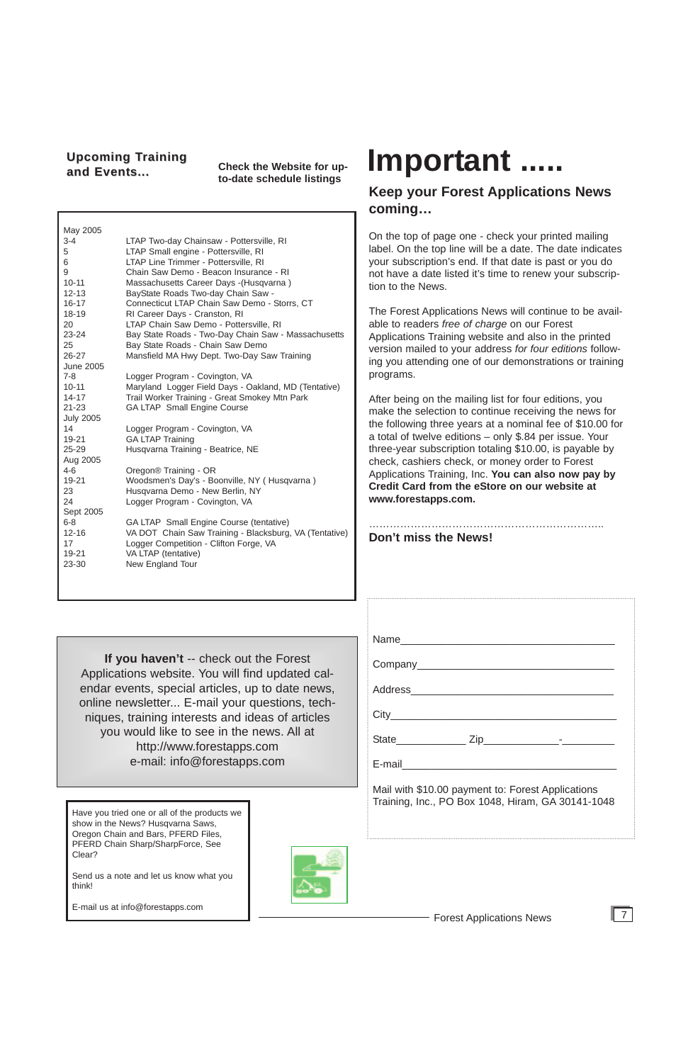#### Forest Applications News

7

**If you haven't** -- check out the Forest Applications website. You will find updated calendar events, special articles, up to date news, online newsletter... E-mail your questions, techniques, training interests and ideas of articles you would like to see in the news. All at http://www.forestapps.com e-mail: info@forestapps.com

#### **Upcoming Training** and Events...

**Check the Website for upto-date schedule listings**

## **Keep your Forest Applications News coming…**

On the top of page one - check your printed mailing label. On the top line will be a date. The date indicates your subscription's end. If that date is past or you do not have a date listed it's time to renew your subscription to the News.

The Forest Applications News will continue to be available to readers *free of charge* on our Forest Applications Training website and also in the printed version mailed to your address *for four editions* following you attending one of our demonstrations or training programs.

After being on the mailing list for four editions, you make the selection to continue receiving the news for the following three years at a nominal fee of \$10.00 for a total of twelve editions – only \$.84 per issue. Your three-year subscription totaling \$10.00, is payable by check, cashiers check, or money order to Forest Applications Training, Inc. **You can also now pay by Credit Card from the eStore on our website at www.forestapps.com.**

…………………………………………………………..

**Don't miss the News!**

| $City$ and $f$ and $f$ and $f$ and $f$ and $f$ and $f$ and $f$ and $f$ and $f$ and $f$ and $f$ and $f$ and $f$ and $f$ and $f$ and $f$ and $f$ and $f$ and $f$ and $f$ and $f$ and $f$ and $f$ and $f$ and $f$ and $f$ and $f$ a |  |
|----------------------------------------------------------------------------------------------------------------------------------------------------------------------------------------------------------------------------------|--|
|                                                                                                                                                                                                                                  |  |
|                                                                                                                                                                                                                                  |  |

Mail with \$10.00 payment to: Forest Applications Training, Inc., PO Box 1048, Hiram, GA 30141-1048

# **Important .....**

Have you tried one or all of the products we show in the News? Husqvarna Saws, Oregon Chain and Bars, PFERD Files, PFERD Chain Sharp/SharpForce, See Clear?

Send us a note and let us know what you think!

E-mail us at info@forestapps.com